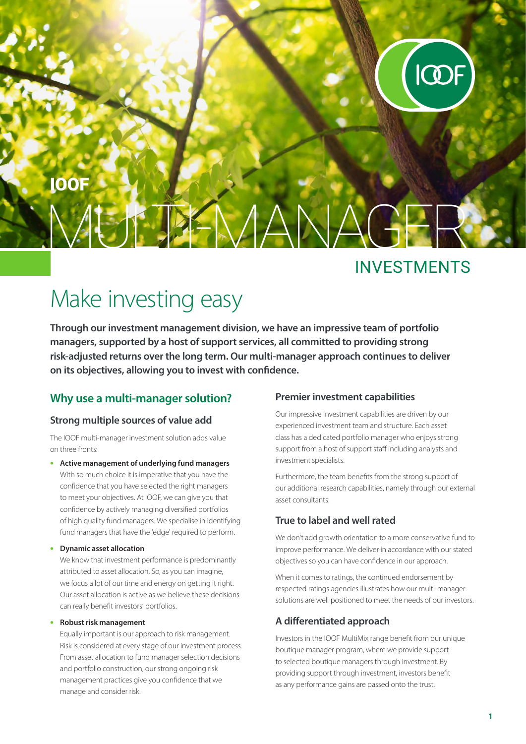

# $H$  MANA IOOF

### INVESTMENTS

## Make investing easy

**Through our investment management division, we have an impressive team of portfolio managers, supported by a host of support services, all committed to providing strong risk-adjusted returns over the long term. Our multi-manager approach continues to deliver on its objectives, allowing you to invest with confidence.**

#### **Why use a multi-manager solution?**

#### **Strong multiple sources of value add**

The IOOF multi-manager investment solution adds value on three fronts:

• **Active management of underlying fund managers** With so much choice it is imperative that you have the confidence that you have selected the right managers to meet your objectives. At IOOF, we can give you that confidence by actively managing diversified portfolios of high quality fund managers. We specialise in identifying fund managers that have the 'edge' required to perform.

#### • **Dynamic asset allocation**

We know that investment performance is predominantly attributed to asset allocation. So, as you can imagine, we focus a lot of our time and energy on getting it right. Our asset allocation is active as we believe these decisions can really benefit investors' portfolios.

#### • **Robust risk management**

Equally important is our approach to risk management. Risk is considered at every stage of our investment process. From asset allocation to fund manager selection decisions and portfolio construction, our strong ongoing risk management practices give you confidence that we manage and consider risk.

#### **Premier investment capabilities**

Our impressive investment capabilities are driven by our experienced investment team and structure. Each asset class has a dedicated portfolio manager who enjoys strong support from a host of support staff including analysts and investment specialists.

Furthermore, the team benefits from the strong support of our additional research capabilities, namely through our external asset consultants.

#### **True to label and well rated**

We don't add growth orientation to a more conservative fund to improve performance. We deliver in accordance with our stated objectives so you can have confidence in our approach.

When it comes to ratings, the continued endorsement by respected ratings agencies illustrates how our multi-manager solutions are well positioned to meet the needs of our investors.

#### **A differentiated approach**

Investors in the IOOF MultiMix range benefit from our unique boutique manager program, where we provide support to selected boutique managers through investment. By providing support through investment, investors benefit as any performance gains are passed onto the trust.